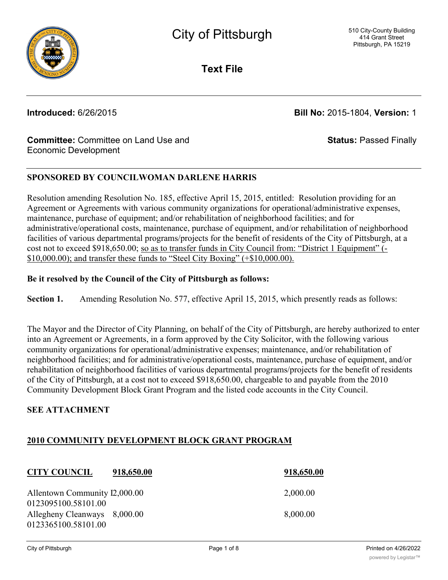

**Text File**

**Introduced:** 6/26/2015 **Bill No:** 2015-1804, **Version:** 1

**Status:** Passed Finally

### **Committee:** Committee on Land Use and Economic Development

## **SPONSORED BY COUNCILWOMAN DARLENE HARRIS**

Resolution amending Resolution No. 185, effective April 15, 2015, entitled: Resolution providing for an Agreement or Agreements with various community organizations for operational/administrative expenses, maintenance, purchase of equipment; and/or rehabilitation of neighborhood facilities; and for administrative/operational costs, maintenance, purchase of equipment, and/or rehabilitation of neighborhood facilities of various departmental programs/projects for the benefit of residents of the City of Pittsburgh, at a cost not to exceed \$918,650.00; so as to transfer funds in City Council from: "District 1 Equipment" (- \$10,000.00); and transfer these funds to "Steel City Boxing" (+\$10,000.00).

#### **Be it resolved by the Council of the City of Pittsburgh as follows:**

**Section 1.** Amending Resolution No. 577, effective April 15, 2015, which presently reads as follows:

The Mayor and the Director of City Planning, on behalf of the City of Pittsburgh, are hereby authorized to enter into an Agreement or Agreements, in a form approved by the City Solicitor, with the following various community organizations for operational/administrative expenses; maintenance, and/or rehabilitation of neighborhood facilities; and for administrative/operational costs, maintenance, purchase of equipment, and/or rehabilitation of neighborhood facilities of various departmental programs/projects for the benefit of residents of the City of Pittsburgh, at a cost not to exceed \$918,650.00, chargeable to and payable from the 2010 Community Development Block Grant Program and the listed code accounts in the City Council.

### **SEE ATTACHMENT**

# **2010 COMMUNITY DEVELOPMENT BLOCK GRANT PROGRAM**

## **CITY COUNCIL 918,650.00 918,650.00**

Allentown Community  $12,000.00$  2,000.00 0123095100.58101.00 Allegheny Cleanways 8,000.00 8,000.00 8,000.00 0123365100.58101.00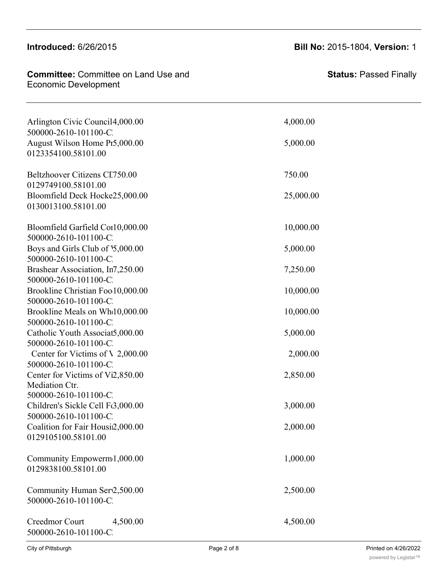## **Introduced: 6/26/2015**

0123365100.58101.00

#### **Committee:** Committee on Land Use and **Committee:** Committee Legheny Covereption.

| Arlington Civic Council 4,000.00         | 4,000.00  |
|------------------------------------------|-----------|
| 500000-2610-101100-C                     |           |
| August Wilson Home Pr5,000.00            | 5,000.00  |
| 0123354100.58101.00                      |           |
| Beltzhoover Citizens CL750.00            | 750.00    |
| 0129749100.58101.00                      |           |
| Bloomfield Deck Hocke25,000.00           | 25,000.00 |
| 0130013100.58101.00                      |           |
| Bloomfield Garfield Cor10,000.00         | 10,000.00 |
| 500000-2610-101100-C.                    |           |
| Boys and Girls Club of 5,000.00          | 5,000.00  |
| 500000-2610-101100-C                     |           |
| Brashear Association, In7,250.00         | 7,250.00  |
| 500000-2610-101100-C.                    |           |
| Brookline Christian Foo 10,000.00        | 10,000.00 |
| 500000-2610-101100-C.                    |           |
| Brookline Meals on Wh(10,000.00          | 10,000.00 |
| 500000-2610-101100-C                     |           |
| Catholic Youth Associat5,000.00          | 5,000.00  |
| 500000-2610-101100-C                     |           |
| Center for Victims of $\lambda$ 2,000.00 | 2,000.00  |
| 500000-2610-101100-C                     |           |
| Center for Victims of Vi2,850.00         | 2,850.00  |
| Mediation Ctr.                           |           |
| 500000-2610-101100-C                     |           |
| Children's Sickle Cell Fc3,000.00        | 3,000.00  |
| 500000-2610-101100-C                     |           |
| Coalition for Fair Housi2,000.00         | 2,000.00  |
| 0129105100.58101.00                      |           |
| Community Empowerm 1,000.00              | 1,000.00  |
| 0129838100.58101.00                      |           |
|                                          |           |
| Community Human Serv2,500.00             | 2,500.00  |
| 500000-2610-101100-C.                    |           |
|                                          |           |
| Creedmor Court<br>4,500.00               | 4,500.00  |
| 500000-2610-101100-C.                    |           |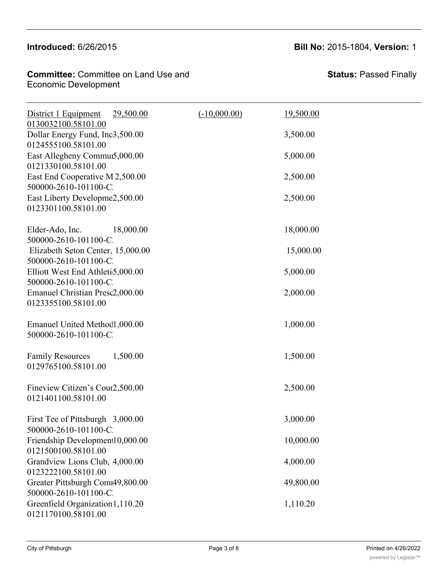## Introduced: 6/26/2015

## **Introduced:** 6/26/2015 **Bill No:** 2015-1804, **Version:** 1

**Committee: Committee on Land Use and** Economic Development Creedmor Court 4,500.00 4,500.00

Community Empowerment Association 1,000.00 1,000.00

| District 1 Equipment<br>29,500.00                                              | $(-10,000.00)$ | 19,500.00 |  |
|--------------------------------------------------------------------------------|----------------|-----------|--|
| 0130032100.58101.00<br>Dollar Energy Fund, Inc3,500.00<br>0124555100.58101.00  |                | 3,500.00  |  |
| East Allegheny Commut5,000.00                                                  |                | 5,000.00  |  |
| 0121330100.58101.00<br>East End Cooperative M 2,500.00                         |                | 2,500.00  |  |
| 500000-2610-101100-C.<br>East Liberty Developme2,500.00<br>0123301100.58101.00 |                | 2,500.00  |  |
| Elder-Ado, Inc.<br>18,000.00<br>500000-2610-101100-C.                          |                | 18,000.00 |  |
| Elizabeth Seton Center, 15,000.00<br>500000-2610-101100-C                      |                | 15,000.00 |  |
| Elliott West End Athletio,000.00<br>500000-2610-101100-C                       |                | 5,000.00  |  |
| Emanuel Christian Presc2,000.00<br>0123355100.58101.00                         |                | 2,000.00  |  |
| Emanuel United Method1,000.00<br>500000-2610-101100-C                          |                | 1,000.00  |  |
| <b>Family Resources</b><br>1,500.00<br>0129765100.58101.00                     |                | 1,500.00  |  |
| Fineview Citizen's Cour2,500.00<br>0121401100.58101.00                         |                | 2,500.00  |  |
| First Tee of Pittsburgh 3,000.00<br>500000-2610-101100-C.                      |                | 3,000.00  |  |
| Friendship Development10,000.00<br>0121500100.58101.00                         |                | 10,000.00 |  |
| Grandview Lions Club, 4,000.00<br>0123222100.58101.00                          |                | 4,000.00  |  |
| Greater Pittsburgh Com149,800.00<br>500000-2610-101100-C                       |                | 49,800.00 |  |
| Greenfield Organization 1, 110.20<br>0121170100.58101.00                       |                | 1,110.20  |  |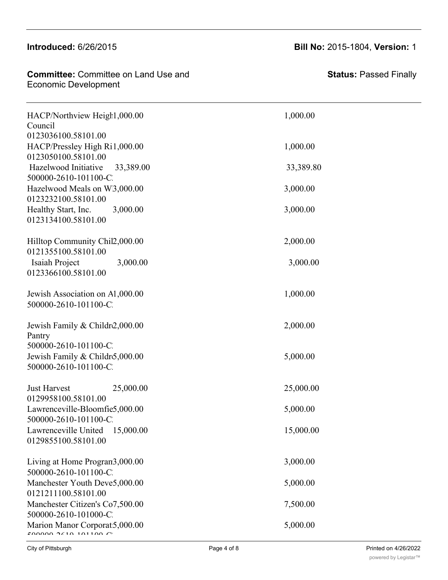#### $\frac{1}{2}$  $m$  $\alpha$ u $\alpha$ u $\alpha$ a $\beta$

0121500100.58101.00

#### Committee: Committee on Land Use and Economic Development and Organization 1,110.20 1,110.20 1,110.20 1,110.20 1,110.20 1,110.20 1,110.20 1,110.20 1,110.20 1,110.20 1,110.20 1,110.20 1,110.20 1,110.20 1,110.20 1,110.20 1,110.20 1,110.20 1,110.20 1,110.20 1,11

| Council                           |           |
|-----------------------------------|-----------|
| 0123036100.58101.00               |           |
| HACP/Pressley High Ri1,000.00     | 1,000.00  |
| 0123050100.58101.00               |           |
| Hazelwood Initiative 33,389.00    | 33,389.80 |
| 500000-2610-101100-C.             |           |
| Hazelwood Meals on WB,000.00      | 3,000.00  |
| 0123232100.58101.00               |           |
| Healthy Start, Inc.<br>3,000.00   | 3,000.00  |
| 0123134100.58101.00               |           |
| Hilltop Community Chil2,000.00    | 2,000.00  |
| 0121355100.58101.00               |           |
| Isaiah Project<br>3,000.00        | 3,000.00  |
| 0123366100.58101.00               |           |
| Jewish Association on A1,000.00   | 1,000.00  |
| 500000-2610-101100-C.             |           |
| Jewish Family & Childr2,000.00    | 2,000.00  |
| Pantry                            |           |
| 500000-2610-101100-C.             |           |
| Jewish Family & Childro,000.00    | 5,000.00  |
| 500000-2610-101100-C.             |           |
| <b>Just Harvest</b><br>25,000.00  | 25,000.00 |
| 0129958100.58101.00               |           |
| Lawrenceville-Bloomfie5,000.00    | 5,000.00  |
| 500000-2610-101100-C.             |           |
| Lawrenceville United<br>15,000.00 | 15,000.00 |
| 0129855100.58101.00               |           |
| Living at Home Program3,000.00    | 3,000.00  |
| 500000-2610-101100-C.             |           |
| Manchester Youth Deve5,000.00     | 5,000.00  |
| 0121211100.58101.00               |           |
| Manchester Citizen's Co7,500.00   | 7,500.00  |
| 500000-2610-101000-C              |           |

Marion Manor Corporation 5,000.00 5,000.00

HACP/Northview Height, 000.00 1,000.00

**Introduced:** 6/26/2015 **Bill No:** 2015-1804, **Version:** 1

**Status:** Passed Finally

 $50000022101101100C$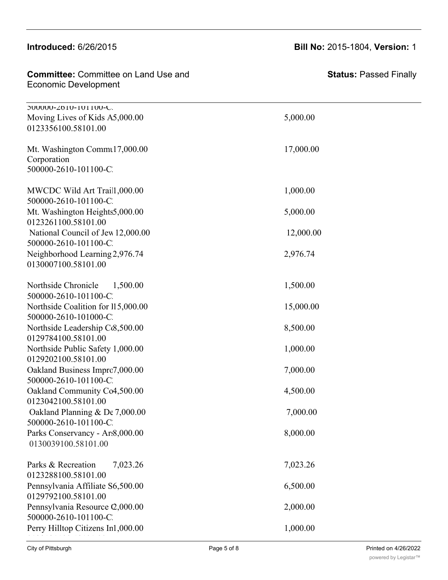#### **Introduced: 6/26/2015** Manchester Youth Development 5,000.00 5,000.00

| <b>Committee:</b> Committee on Land Use and |  |
|---------------------------------------------|--|
| <b>Economic Development</b>                 |  |

Living at Home Program3,000.00 3,000.00

500000-2610-101100-C2010-G223112-2010 Moving Lives of Kids  $A5,000.00$  5,000.00 0123356100.58101.00

Mt. Washington Commul 7,000.00 Corporation 500000-2610-101100-C2

MWCDC Wild Art Traill 000.00 1,000.00 1,000.00 500000-2610-101100-C Mt. Washington Heights 5,000.00 5,000.00 5,000.00 0123261100.58101.00 National Council of Jew 12,000.00 12,000.00 12,000.00 500000-2610-101100-C Neighborhood Learning 2,976.74<br>2,976.74 0130007100.58101.00

Northside Chronicle 1,500.00 1,500.00 500000-2610-101100-C Northside Coalition for 115,000.00 15,000.00 500000-2610-101000-C Northside Leadership Co. 500.00 8,500.00 8,500.00 0129784100.58101.00 Northside Public Safety 1,000.00 1,000.00 1,000.00 0129202100.58101.00 Oakland Business Impro7,000.00 7,000.00 7,000.00 500000-2610-101100-C Oakland Community Co4,500.00 4,500.00 0123042100.58101.00 Oakland Planning  $\&$  De 7,000.00  $\qquad \qquad$  7,000.00 500000-2610-101100-C Parks Conservancy - Ars 8,000.00 8,000.00 8,000.00 0130039100.58101.00 Parks & Recreation 7,023.26 7,023.26

0123288100.58101.00 Pennsylvania Affiliate S6,500.00 6,500.00 6,500.00 0129792100.58101.00 Pennsylvania Resource  $\mathcal{Q}$ ,000.00 2,000.00 500000-2610-101100-C Perry Hilltop Citizens In1,000.00 1,000.00 0129121100.58101.00

17,000.00 17,000.00

**Status:** Passed Finally

Printed on 4/26/2022 [powered by Legistar™](http://www.legistar.com/)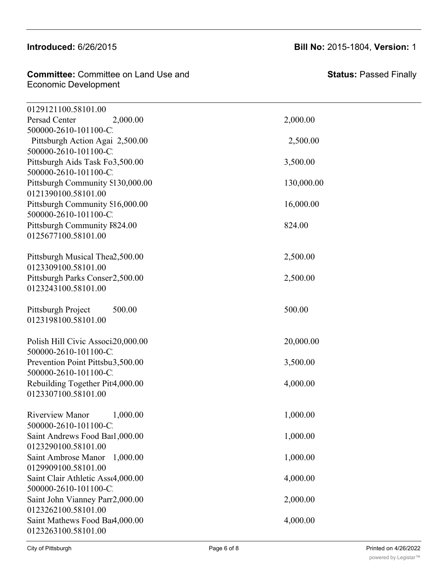## Introduced: 6/26/2015

| <b>Committee:</b> Committee on Land Use and<br>Economic Development |  |
|---------------------------------------------------------------------|--|
|                                                                     |  |
|                                                                     |  |

| 0129121100.58101.00                                      |            |
|----------------------------------------------------------|------------|
| Persad Center<br>2,000.00                                | 2,000.00   |
| 500000-2610-101100-C.<br>Pittsburgh Action Agai 2,500.00 | 2,500.00   |
| 500000-2610-101100-C.                                    |            |
| Pittsburgh Aids Task Fo3,500.00                          | 3,500.00   |
| 500000-2610-101100-C.                                    |            |
| Pittsburgh Community S130,000.00                         | 130,000.00 |
| 0121390100.58101.00                                      |            |
| Pittsburgh Community S16,000.00                          | 16,000.00  |
| 500000-2610-101100-C.                                    |            |
| Pittsburgh Community F824.00                             | 824.00     |
| 0125677100.58101.00                                      |            |
| Pittsburgh Musical Thea2,500.00                          | 2,500.00   |
| 0123309100.58101.00                                      |            |
| Pittsburgh Parks Conser2,500.00                          | 2,500.00   |
| 0123243100.58101.00                                      |            |
| 500.00<br>Pittsburgh Project                             | 500.00     |
| 0123198100.58101.00                                      |            |
|                                                          |            |
| Polish Hill Civic Associ20,000.00                        | 20,000.00  |
| 500000-2610-101100-C                                     |            |
| Prevention Point Pittsbu3,500.00                         | 3,500.00   |
| 500000-2610-101100-C.                                    |            |
| Rebuilding Together Pitt4,000.00                         | 4,000.00   |
| 0123307100.58101.00                                      |            |
| <b>Riverview Manor</b><br>1,000.00                       | 1,000.00   |
| 500000-2610-101100-C.                                    |            |
| Saint Andrews Food Barl,000.00                           | 1,000.00   |
| 0123290100.58101.00                                      |            |
| Saint Ambrose Manor<br>1,000.00                          | 1,000.00   |
| 0129909100.58101.00                                      |            |
| Saint Clair Athletic Assc4,000.00                        | 4,000.00   |
| 500000-2610-101100-C.                                    |            |
| Saint John Vianney Parr2,000.00                          | 2,000.00   |
| 0123262100.58101.00                                      |            |
| Saint Mathews Food Bar4,000.00<br>0123263100.58101.00    | 4,000.00   |
|                                                          |            |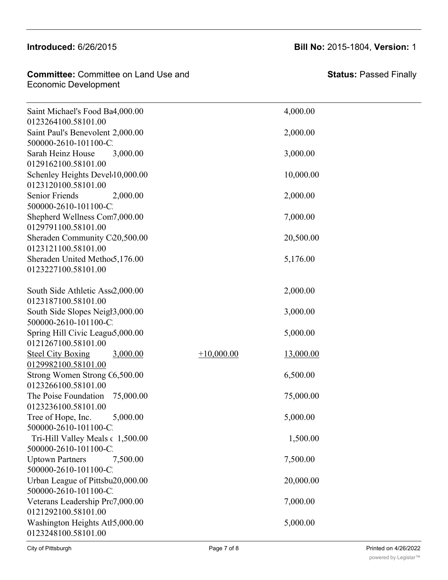## Introduced:  $6/26/2015$  Bill N

**Committee:** Committee on Land Use and **Committee:** Committee Saint Mathews Food Bank 4,000 4,000 4,000 4,000 4,000 4,000 4,000 4,000 4,000 4,000 4,000 4,000 4,000 4,000 4,000 4,000 4,000 4,000 4,000 4,000 4,000 4,000 4,000 4,000 4,000 4,000 4,000 4,000 4,000 4,000 4,000 4,000 4,000

Saint Ambrose Manor 1,000.00 1,000.00

| Saint Michael's Food Ba4,000.00              |              | 4,000.00  |  |
|----------------------------------------------|--------------|-----------|--|
| 0123264100.58101.00                          |              |           |  |
| Saint Paul's Benevolent 2,000.00             |              | 2,000.00  |  |
| 500000-2610-101100-C.                        |              |           |  |
| Sarah Heinz House<br>3,000.00                |              | 3,000.00  |  |
| 0129162100.58101.00                          |              |           |  |
| Schenley Heights Develd 0,000.00             |              | 10,000.00 |  |
| 0123120100.58101.00                          |              |           |  |
| Senior Friends<br>2,000.00                   |              | 2,000.00  |  |
| 500000-2610-101100-C.                        |              |           |  |
| Shepherd Wellness Com7,000.00                |              | 7,000.00  |  |
| 0129791100.58101.00                          |              |           |  |
| Sheraden Community C20,500.00                |              | 20,500.00 |  |
| 0123121100.58101.00                          |              |           |  |
| Sheraden United Methoc5,176.00               |              | 5,176.00  |  |
| 0123227100.58101.00                          |              |           |  |
|                                              |              |           |  |
| South Side Athletic Ass2,000.00              |              | 2,000.00  |  |
| 0123187100.58101.00                          |              |           |  |
| South Side Slopes Neigh 3,000.00             |              | 3,000.00  |  |
| 500000-2610-101100-C                         |              |           |  |
| Spring Hill Civic Leagu <sub>5</sub> ,000.00 |              | 5,000.00  |  |
| 0121267100.58101.00                          |              |           |  |
| <b>Steel City Boxing</b><br>3,000.00         | $+10,000.00$ | 13,000.00 |  |
| 0129982100.58101.00                          |              |           |  |
| Strong Women Strong C6,500.00                |              | 6,500.00  |  |
| 0123266100.58101.00                          |              |           |  |
| The Poise Foundation<br>75,000.00            |              | 75,000.00 |  |
| 0123236100.58101.00                          |              |           |  |
| Tree of Hope, Inc.<br>5,000.00               |              | 5,000.00  |  |
| 500000-2610-101100-C.                        |              |           |  |
| Tri-Hill Valley Meals c 1,500.00             |              | 1,500.00  |  |
| 500000-2610-101100-C.                        |              |           |  |
| <b>Uptown Partners</b><br>7,500.00           |              | 7,500.00  |  |
| 500000-2610-101100-C.                        |              |           |  |
| Urban League of Pittsbu20,000.00             |              | 20,000.00 |  |
| 500000-2610-101100-C.                        |              |           |  |
| Veterans Leadership Pro7,000.00              |              | 7,000.00  |  |
| 0121292100.58101.00                          |              |           |  |
| Washington Heights Ath5,000.00               |              | 5,000.00  |  |
| 0123248100.58101.00                          |              |           |  |